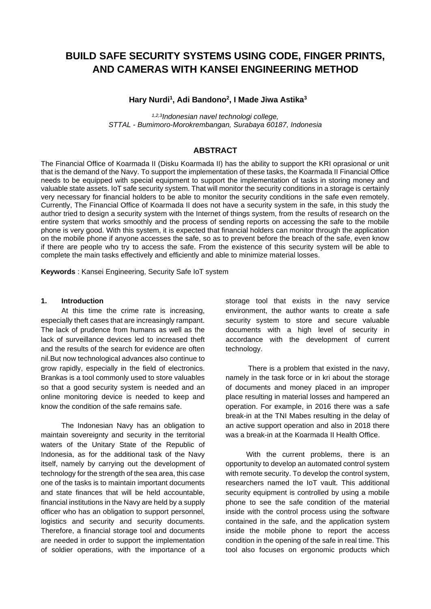# **BUILD SAFE SECURITY SYSTEMS USING CODE, FINGER PRINTS, AND CAMERAS WITH KANSEI ENGINEERING METHOD**

### **Hary Nurdi<sup>1</sup> , Adi Bandono<sup>2</sup> , I Made Jiwa Astika<sup>3</sup>**

*1,2,3Indonesian navel technologi college, STTAL - Bumimoro-Morokrembangan, Surabaya 60187, Indonesia*

### **ABSTRACT**

The Financial Office of Koarmada II (Disku Koarmada II) has the ability to support the KRI oprasional or unit that is the demand of the Navy. To support the implementation of these tasks, the Koarmada II Financial Office needs to be equipped with special equipment to support the implementation of tasks in storing money and valuable state assets. IoT safe security system. That will monitor the security conditions in a storage is certainly very necessary for financial holders to be able to monitor the security conditions in the safe even remotely. Currently, The Financial Office of Koarmada II does not have a security system in the safe, in this study the author tried to design a security system with the Internet of things system, from the results of research on the entire system that works smoothly and the process of sending reports on accessing the safe to the mobile phone is very good. With this system, it is expected that financial holders can monitor through the application on the mobile phone if anyone accesses the safe, so as to prevent before the breach of the safe, even know if there are people who try to access the safe. From the existence of this security system will be able to complete the main tasks effectively and efficiently and able to minimize material losses.

**Keywords** : Kansei Engineering, Security Safe IoT system

### **1. Introduction**

At this time the crime rate is increasing, especially theft cases that are increasingly rampant. The lack of prudence from humans as well as the lack of surveillance devices led to increased theft and the results of the search for evidence are often nil.But now technological advances also continue to grow rapidly, especially in the field of electronics. Brankas is a tool commonly used to store valuables so that a good security system is needed and an online monitoring device is needed to keep and know the condition of the safe remains safe.

The Indonesian Navy has an obligation to maintain sovereignty and security in the territorial waters of the Unitary State of the Republic of Indonesia, as for the additional task of the Navy itself, namely by carrying out the development of technology for the strength of the sea area, this case one of the tasks is to maintain important documents and state finances that will be held accountable, financial institutions in the Navy are held by a supply officer who has an obligation to support personnel, logistics and security and security documents. Therefore, a financial storage tool and documents are needed in order to support the implementation of soldier operations, with the importance of a storage tool that exists in the navy service environment, the author wants to create a safe security system to store and secure valuable documents with a high level of security in accordance with the development of current technology.

There is a problem that existed in the navy, namely in the task force or in kri about the storage of documents and money placed in an improper place resulting in material losses and hampered an operation. For example, in 2016 there was a safe break-in at the TNI Mabes resulting in the delay of an active support operation and also in 2018 there was a break-in at the Koarmada II Health Office.

With the current problems, there is an opportunity to develop an automated control system with remote security. To develop the control system, researchers named the IoT vault. This additional security equipment is controlled by using a mobile phone to see the safe condition of the material inside with the control process using the software contained in the safe, and the application system inside the mobile phone to report the access condition in the opening of the safe in real time. This tool also focuses on ergonomic products which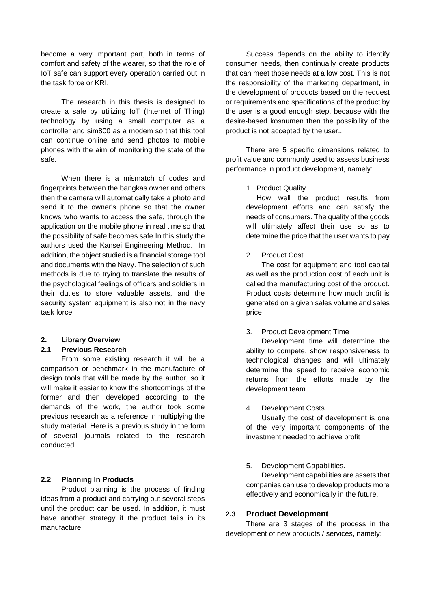become a very important part, both in terms of comfort and safety of the wearer, so that the role of IoT safe can support every operation carried out in the task force or KRI.

The research in this thesis is designed to create a safe by utilizing IoT (Internet of Thing) technology by using a small computer as a controller and sim800 as a modem so that this tool can continue online and send photos to mobile phones with the aim of monitoring the state of the safe.

When there is a mismatch of codes and fingerprints between the bangkas owner and others then the camera will automatically take a photo and send it to the owner's phone so that the owner knows who wants to access the safe, through the application on the mobile phone in real time so that the possibility of safe becomes safe.In this study the authors used the Kansei Engineering Method. In addition, the object studied is a financial storage tool and documents with the Navy. The selection of such methods is due to trying to translate the results of the psychological feelings of officers and soldiers in their duties to store valuable assets, and the security system equipment is also not in the navy task force

### **2. Library Overview**

### **2.1 Previous Research**

From some existing research it will be a comparison or benchmark in the manufacture of design tools that will be made by the author, so it will make it easier to know the shortcomings of the former and then developed according to the demands of the work, the author took some previous research as a reference in multiplying the study material. Here is a previous study in the form of several journals related to the research conducted.

## **2.2 Planning In Products**

Product planning is the process of finding ideas from a product and carrying out several steps until the product can be used. In addition, it must have another strategy if the product fails in its manufacture.

Success depends on the ability to identify consumer needs, then continually create products that can meet those needs at a low cost. This is not the responsibility of the marketing department, in the development of products based on the request or requirements and specifications of the product by the user is a good enough step, because with the desire-based kosnumen then the possibility of the product is not accepted by the user..

There are 5 specific dimensions related to profit value and commonly used to assess business performance in product development, namely:

## 1. Product Quality

How well the product results from development efforts and can satisfy the needs of consumers. The quality of the goods will ultimately affect their use so as to determine the price that the user wants to pay

2. Product Cost

The cost for equipment and tool capital as well as the production cost of each unit is called the manufacturing cost of the product. Product costs determine how much profit is generated on a given sales volume and sales price

### 3. Product Development Time

Development time will determine the ability to compete, show responsiveness to technological changes and will ultimately determine the speed to receive economic returns from the efforts made by the development team.

## 4. Development Costs

Usually the cost of development is one of the very important components of the investment needed to achieve profit

5. Development Capabilities.

Development capabilities are assets that companies can use to develop products more effectively and economically in the future.

## **2.3 Product Development**

There are 3 stages of the process in the development of new products / services, namely: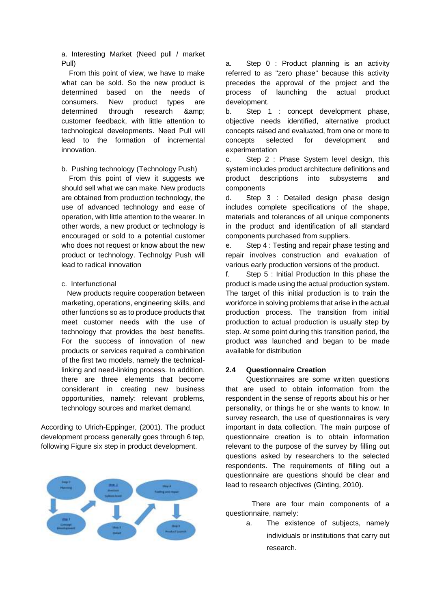a. Interesting Market (Need pull / market Pull)

From this point of view, we have to make what can be sold. So the new product is determined based on the needs of consumers. New product types are determined through research & amp; customer feedback, with little attention to technological developments. Need Pull will lead to the formation of incremental innovation.

b. Pushing technology (Technology Push)

From this point of view it suggests we should sell what we can make. New products are obtained from production technology, the use of advanced technology and ease of operation, with little attention to the wearer. In other words, a new product or technology is encouraged or sold to a potential customer who does not request or know about the new product or technology. Technolgy Push will lead to radical innovation

### c. Interfunctional

New products require cooperation between marketing, operations, engineering skills, and other functions so as to produce products that meet customer needs with the use of technology that provides the best benefits. For the success of innovation of new products or services required a combination of the first two models, namely the technicallinking and need-linking process. In addition, there are three elements that become considerant in creating new business opportunities, namely: relevant problems, technology sources and market demand.

According to Ulrich-Eppinger, (2001). The product development process generally goes through 6 tep, following Figure six step in product development.



a. Step 0 : Product planning is an activity referred to as "zero phase" because this activity precedes the approval of the project and the process of launching the actual product development.

b. Step 1 : concept development phase, objective needs identified, alternative product concepts raised and evaluated, from one or more to concepts selected for development and experimentation

c. Step 2 : Phase System level design, this system includes product architecture definitions and product descriptions into subsystems and components

d. Step 3 : Detailed design phase design includes complete specifications of the shape, materials and tolerances of all unique components in the product and identification of all standard components purchased from suppliers.

e. Step 4 : Testing and repair phase testing and repair involves construction and evaluation of various early production versions of the product.

f. Step 5 : Initial Production In this phase the product is made using the actual production system. The target of this initial production is to train the workforce in solving problems that arise in the actual production process. The transition from initial production to actual production is usually step by step. At some point during this transition period, the product was launched and began to be made available for distribution

### **2.4 Questionnaire Creation**

Questionnaires are some written questions that are used to obtain information from the respondent in the sense of reports about his or her personality, or things he or she wants to know. In survey research, the use of questionnaires is very important in data collection. The main purpose of questionnaire creation is to obtain information relevant to the purpose of the survey by filling out questions asked by researchers to the selected respondents. The requirements of filling out a questionnaire are questions should be clear and lead to research objectives (Ginting, 2010).

There are four main components of a questionnaire, namely:

> a. The existence of subjects, namely individuals or institutions that carry out research.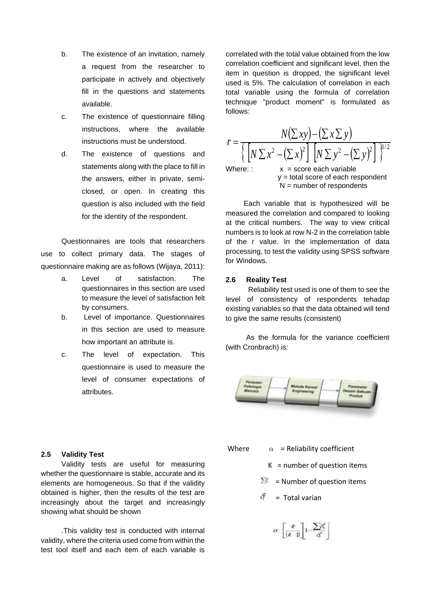- b. The existence of an invitation, namely a request from the researcher to participate in actively and objectively fill in the questions and statements available.
- c. The existence of questionnaire filling instructions, where the available instructions must be understood.
- d. The existence of questions and statements along with the place to fill in the answers, either in private, semiclosed, or open. In creating this question is also included with the field for the identity of the respondent.

Questionnaires are tools that researchers use to collect primary data. The stages of questionnaire making are as follows (Wijaya, 2011):

- a. Level of satisfaction. The questionnaires in this section are used to measure the level of satisfaction felt by consumers.
- b. Level of importance. Questionnaires in this section are used to measure how important an attribute is.
- c. The level of expectation. This questionnaire is used to measure the level of consumer expectations of attributes.

correlated with the total value obtained from the low correlation coefficient and significant level, then the item in question is dropped, the significant level used is 5%. The calculation of correlation in each total variable using the formula of correlation technique "product moment" is formulated as follows:



 y = total score of each respondent  $N =$  number of respondents

Each variable that is hypothesized will be measured the correlation and compared to looking at the critical numbers. The way to view critical numbers is to look at row N-2 in the correlation table of the r value. In the implementation of data processing, to test the validity using SPSS software for Windows.

## **2.6 Reality Test**

Reliability test used is one of them to see the level of consistency of respondents tehadap existing variables so that the data obtained will tend to give the same results (consistent)

As the formula for the variance coefficient (with Cronbrach) is:



## **2.5 Validity Test**

Validity tests are useful for measuring whether the questionnaire is stable, accurate and its elements are homogeneous. So that if the validity obtained is higher, then the results of the test are increasingly about the target and increasingly showing what should be shown

.This validity test is conducted with internal validity, where the criteria used come from within the test tool itself and each item of each variable is

Where  $\alpha$  = Reliability coefficient

- $K =$  number of question items
- $\sum_{k=1}^{\infty}$  = Number of question items
- = Total varian

$$
\alpha\cdot \left[\frac{k}{(k-1)}\right]1-\frac{\sum \delta^2_b}{\delta^2}\Bigg]
$$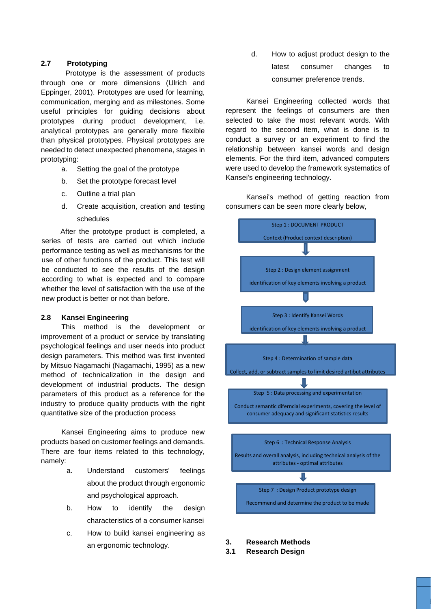## **2.7 Prototyping**

 Prototype is the assessment of products through one or more dimensions (Ulrich and Eppinger, 2001). Prototypes are used for learning, communication, merging and as milestones. Some useful principles for guiding decisions about prototypes during product development, i.e. analytical prototypes are generally more flexible than physical prototypes. Physical prototypes are needed to detect unexpected phenomena, stages in prototyping:

- a. Setting the goal of the prototype
- b. Set the prototype forecast level
- c. Outline a trial plan
- d. Create acquisition, creation and testing schedules

After the prototype product is completed, a series of tests are carried out which include performance testing as well as mechanisms for the use of other functions of the product. This test will be conducted to see the results of the design according to what is expected and to compare whether the level of satisfaction with the use of the new product is better or not than before.

## **2.8 Kansei Engineering**

This method is the development or improvement of a product or service by translating psychological feelings and user needs into product design parameters. This method was first invented by Mitsuo Nagamachi (Nagamachi, 1995) as a new method of technicalization in the design and development of industrial products. The design parameters of this product as a reference for the industry to produce quality products with the right quantitative size of the production process

Kansei Engineering aims to produce new products based on customer feelings and demands. There are four items related to this technology, namely:

- a. Understand customers' feelings about the product through ergonomic and psychological approach.
- b. How to identify the design characteristics of a consumer kansei
- c. How to build kansei engineering as an ergonomic technology.

d. How to adjust product design to the latest consumer changes to consumer preference trends.

Kansei Engineering collected words that represent the feelings of consumers are then selected to take the most relevant words. With regard to the second item, what is done is to conduct a survey or an experiment to find the relationship between kansei words and design elements. For the third item, advanced computers were used to develop the framework systematics of Kansei's engineering technology.

Kansei's method of getting reaction from consumers can be seen more clearly below,



- **3. Research Methods**
- **3.1 Research Design**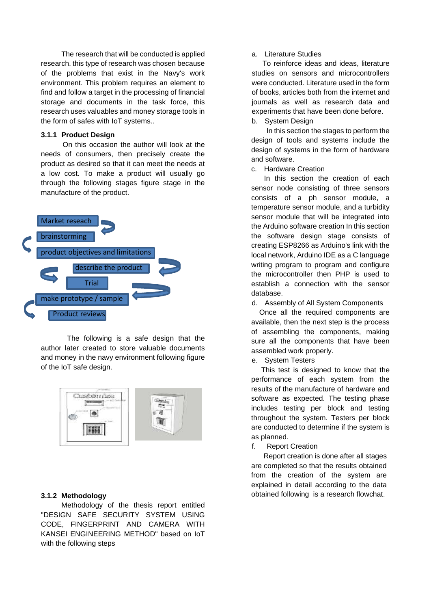The research that will be conducted is applied research. this type of research was chosen because of the problems that exist in the Navy's work environment. This problem requires an element to find and follow a target in the processing of financial storage and documents in the task force, this research uses valuables and money storage tools in the form of safes with IoT systems..

### **3.1.1 Product Design**

On this occasion the author will look at the needs of consumers, then precisely create the product as desired so that it can meet the needs at a low cost. To make a product will usually go through the following stages figure stage in the manufacture of the product.



The following is a safe design that the author later created to store valuable documents and money in the navy environment following figure of the IoT safe design.



### **3.1.2 Methodology**

Methodology of the thesis report entitled "DESIGN SAFE SECURITY SYSTEM USING CODE, FINGERPRINT AND CAMERA WITH KANSEI ENGINEERING METHOD" based on IoT with the following steps

a. Literature Studies

 To reinforce ideas and ideas, literature studies on sensors and microcontrollers were conducted. Literature used in the form of books, articles both from the internet and journals as well as research data and experiments that have been done before.

b. System Design

 In this section the stages to perform the design of tools and systems include the design of systems in the form of hardware and software.

c. Hardware Creation

In this section the creation of each sensor node consisting of three sensors consists of a ph sensor module, a temperature sensor module, and a turbidity sensor module that will be integrated into the Arduino software creation In this section the software design stage consists of creating ESP8266 as Arduino's link with the local network, Arduino IDE as a C language writing program to program and configure the microcontroller then PHP is used to establish a connection with the sensor database.

d. Assembly of All System Components

 Once all the required components are available, then the next step is the process of assembling the components, making sure all the components that have been assembled work properly.

e. System Testers

 This test is designed to know that the performance of each system from the results of the manufacture of hardware and software as expected. The testing phase includes testing per block and testing throughout the system. Testers per block are conducted to determine if the system is as planned.

f. Report Creation

 Report creation is done after all stages are completed so that the results obtained from the creation of the system are explained in detail according to the data obtained following is a research flowchat.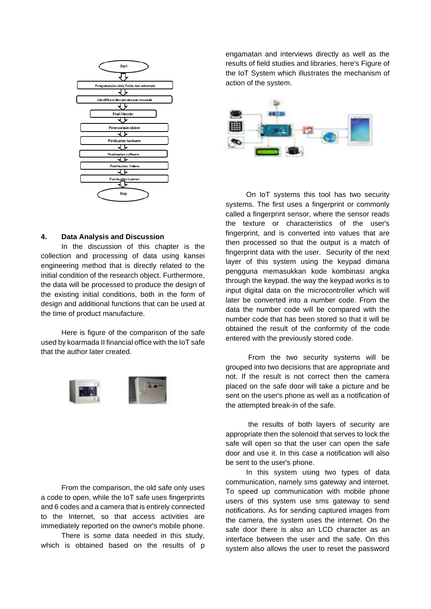

## **4. Data Analysis and Discussion**

In the discussion of this chapter is the collection and processing of data using kansei engineering method that is directly related to the initial condition of the research object. Furthermore, the data will be processed to produce the design of the existing initial conditions, both in the form of design and additional functions that can be used at the time of product manufacture.

Here is figure of the comparison of the safe used by koarmada II financial office with the IoT safe that the author later created.



From the comparison, the old safe only uses a code to open, while the IoT safe uses fingerprints and 6 codes and a camera that is entirely connected to the Internet, so that access activities are immediately reported on the owner's mobile phone.

There is some data needed in this study, which is obtained based on the results of p engamatan and interviews directly as well as the results of field studies and libraries. here's Figure of the IoT System which illustrates the mechanism of action of the system.



On IoT systems this tool has two security systems. The first uses a fingerprint or commonly called a fingerprint sensor, where the sensor reads the texture or characteristics of the user's fingerprint, and is converted into values that are then processed so that the output is a match of fingerprint data with the user. Security of the next layer of this system using the keypad dimana pengguna memasukkan kode kombinasi angka through the keypad. the way the keypad works is to input digital data on the microcontroller which will later be converted into a number code. From the data the number code will be compared with the number code that has been stored so that it will be obtained the result of the conformity of the code entered with the previously stored code.

From the two security systems will be grouped into two decisions that are appropriate and not. If the result is not correct then the camera placed on the safe door will take a picture and be sent on the user's phone as well as a notification of the attempted break-in of the safe.

the results of both layers of security are appropriate then the solenoid that serves to lock the safe will open so that the user can open the safe door and use it. In this case a notification will also be sent to the user's phone.

In this system using two types of data communication, namely sms gateway and internet. To speed up communication with mobile phone users of this system use sms gateway to send notifications. As for sending captured images from the camera, the system uses the internet. On the safe door there is also an LCD character as an interface between the user and the safe. On this system also allows the user to reset the password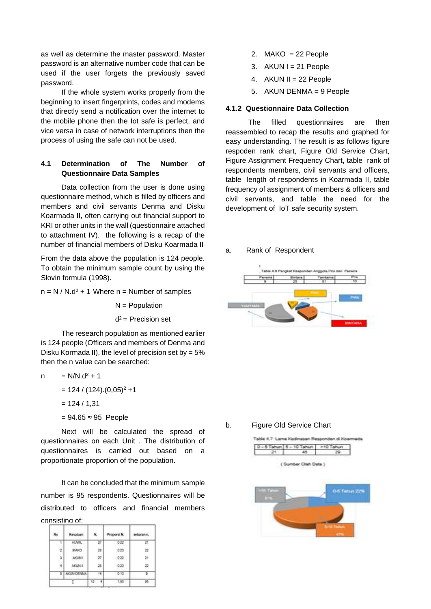as well as determine the master password. Master password is an alternative number code that can be used if the user forgets the previously saved password.

If the whole system works properly from the beginning to insert fingerprints, codes and modems that directly send a notification over the internet to the mobile phone then the Iot safe is perfect, and vice versa in case of network interruptions then the process of using the safe can not be used.

## **4.1 Determination of The Number of Questionnaire Data Samples**

Data collection from the user is done using questionnaire method, which is filled by officers and members and civil servants Denma and Disku Koarmada II, often carrying out financial support to KRI or other units in the wall (questionnaire attached to attachment IV). the following is a recap of the number of financial members of Disku Koarmada II

From the data above the population is 124 people. To obtain the minimum sample count by using the Slovin formula (1998).

 $n = N / N.d^2 + 1$  Where  $n =$  Number of samples

 $N =$  Population

#### d  $d^2$  = Precision set

The research population as mentioned earlier is 124 people (Officers and members of Denma and Disku Kormada II), the level of precision set by = 5% then the n value can be searched:

$$
n = N/N \cdot d^2 + 1
$$

 $= 124 / (124) . (0,05)^{2} + 1$ 

$$
= 124 / 1,31
$$

 $= 94.65 \approx 95$  People

Next will be calculated the spread of questionnaires on each Unit . The distribution of questionnaires is carried out based on a proportionate proportion of the population.

It can be concluded that the minimum sample number is 95 respondents. Questionnaires will be distributed to officers and financial members consisting of:

| No | Kesatuan   |    | Proportà N. | sebaran n |
|----|------------|----|-------------|-----------|
|    | KUWA.      |    | $0.22 -$    | 21        |
|    | MAKO       |    | 0.23        |           |
|    | AKUN !     | 27 | 0.22        |           |
|    | AKUN II.   | 28 | 0.23        |           |
|    | AKUN DENMA | ī4 | $-0.10$     | в         |
|    |            |    | 7.00        |           |

- 2.  $MAKO = 22$  People
- 3.  $AKUN I = 21 People$
- 4. AKUN II = 22 People
- 5. AKUN DENMA = 9 People

### **4.1.2 Questionnaire Data Collection**

The filled questionnaires are then reassembled to recap the results and graphed for easy understanding. The result is as follows figure respoden rank chart, Figure Old Service Chart, Figure Assignment Frequency Chart, table rank of respondents members, civil servants and officers, table length of respondents in Koarmada II, table frequency of assignment of members & officers and civil servants, and table the need for the development of IoT safe security system.

## a. Rank of Respondent



b. Figure Old Service Chart

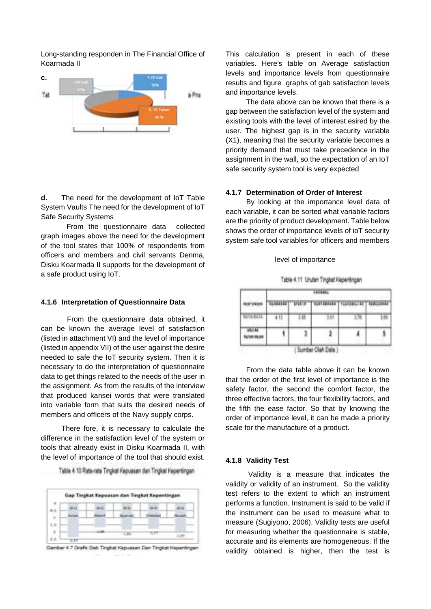Long-standing responden in The Financial Office of Koarmada II



**d.** The need for the development of IoT Table System Vaults The need for the development of IoT Safe Security Systems

From the questionnaire data collected graph images above the need for the development of the tool states that 100% of respondents from officers and members and civil servants Denma, Disku Koarmada II supports for the development of a safe product using IoT.

### **4.1.6 Interpretation of Questionnaire Data**

From the questionnaire data obtained, it can be known the average level of satisfaction (listed in attachment VI) and the level of importance (listed in appendix VII) of the user against the desire needed to safe the IoT security system. Then it is necessary to do the interpretation of questionnaire data to get things related to the needs of the user in the assignment. As from the results of the interview that produced kansei words that were translated into variable form that suits the desired needs of members and officers of the Navy supply corps.

There fore, it is necessary to calculate the difference in the satisfaction level of the system or tools that already exist in Disku Koarmada II, with the level of importance of the tool that should exist.

Table 4.10 Rate-rate Tingkat Kepussan dan Tingkat Kepentingan

Gambar 4.7 Grafik Gab Tingkat Kepuasan Dan Tingkat Kepentingan

This calculation is present in each of these variables. Here's table on Average satisfaction levels and importance levels from questionnaire results and figure graphs of gab satisfaction levels and importance levels.

The data above can be known that there is a gap between the satisfaction level of the system and existing tools with the level of interest esired by the user. The highest gap is in the security variable (X1), meaning that the security variable becomes a priority demand that must take precedence in the assignment in the wall, so the expectation of an IoT safe security system tool is very expected

### **4.1.7 Determination of Order of Interest**

By looking at the importance level data of each variable, it can be sorted what variable factors are the priority of product development. Table below shows the order of importance levels of ioT security system safe tool variables for officers and members

### level of importance

| Table 4.11 Linuten Tingkat Kepentingan |  |  |
|----------------------------------------|--|--|

|  | <b>WEIT</b> | <b>TAXTABILITY</b> | THE RELTER   REMINISTRAT |  |  |
|--|-------------|--------------------|--------------------------|--|--|
|  |             |                    |                          |  |  |
|  |             |                    |                          |  |  |
|  |             | Sumber Olah Data   |                          |  |  |

From the data table above it can be known that the order of the first level of importance is the safety factor, the second the comfort factor, the three effective factors, the four flexibility factors, and the fifth the ease factor. So that by knowing the order of importance level, it can be made a priority scale for the manufacture of a product.

### **4.1.8 Validity Test**

Validity is a measure that indicates the validity or validity of an instrument. So the validity test refers to the extent to which an instrument performs a function. Instrument is said to be valid if the instrument can be used to measure what to measure (Sugiyono, 2006). Validity tests are useful for measuring whether the questionnaire is stable, accurate and its elements are homogeneous. If the validity obtained is higher, then the test is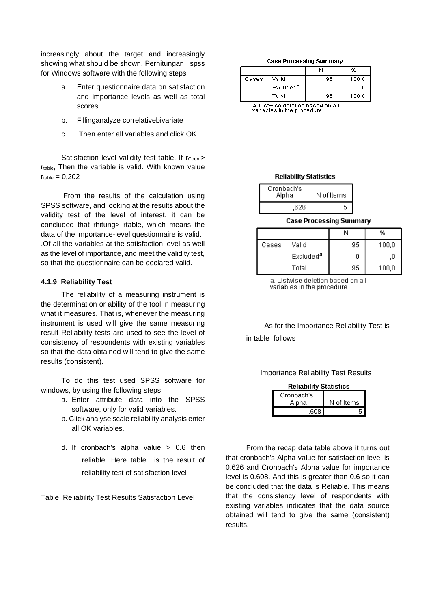increasingly about the target and increasingly showing what should be shown. Perhitungan spss for Windows software with the following steps

- Enter questionnaire data on satisfaction and importance levels as well as total scores.
- b. Fillinganalyze correlativebivariate
- c. .Then enter all variables and click OK

Satisfaction level validity test table, If r<sub>Count</sub>> r<sub>table</sub>, Then the variable is valid. With known value  $r_{table} = 0.202$ 

From the results of the calculation using SPSS software, and looking at the results about the validity test of the level of interest, it can be concluded that rhitung> rtable, which means the data of the importance-level questionnaire is valid. .Of all the variables at the satisfaction level as well as the level of importance, and meet the validity test, so that the questionnaire can be declared valid.

### **4.1.9 Reliability Test**

The reliability of a measuring instrument is the determination or ability of the tool in measuring what it measures. That is, whenever the measuring instrument is used will give the same measuring result Reliability tests are used to see the level of consistency of respondents with existing variables so that the data obtained will tend to give the same results (consistent).

To do this test used SPSS software for windows, by using the following steps:

- a. Enter attribute data into the SPSS software, only for valid variables.
- b. Click analyse scale reliability analysis enter all OK variables.
- d. If cronbach's alpha value > 0.6 then reliable. Here table is the result of reliability test of satisfaction level

Table Reliability Test Results Satisfaction Level

### **Case Processing Summary**

|       |                       | N  | %     |
|-------|-----------------------|----|-------|
| Cases | Valid                 | 95 | 100,0 |
|       | Excluded <sup>a</sup> |    | .ι    |
|       | Total                 | 95 | 100,0 |

a. Listwise deletion based on all variables in the procedure

### **Reliability Statistics**

| Cronbach's<br>Alpha | N of Items |  |
|---------------------|------------|--|
| .626                |            |  |

### **Case Processing Summary**

|       |                       | Ν  | %     |
|-------|-----------------------|----|-------|
| Cases | Valid                 | 95 | 100,0 |
|       | Excluded <sup>a</sup> |    | .U    |
|       | Total                 | 95 | 100,0 |

a. Listwise deletion based on all variables in the procedure.

As for the Importance Reliability Test is in table follows

### Importance Reliability Test Results

| <b>Reliability Statistics</b> |            |  |  |
|-------------------------------|------------|--|--|
| Cronbach's                    |            |  |  |
| Alpha                         | N of Items |  |  |
| .608                          | 5          |  |  |

From the recap data table above it turns out that cronbach's Alpha value for satisfaction level is 0.626 and Cronbach's Alpha value for importance level is 0.608. And this is greater than 0.6 so it can be concluded that the data is Reliable. This means that the consistency level of respondents with existing variables indicates that the data source obtained will tend to give the same (consistent) results.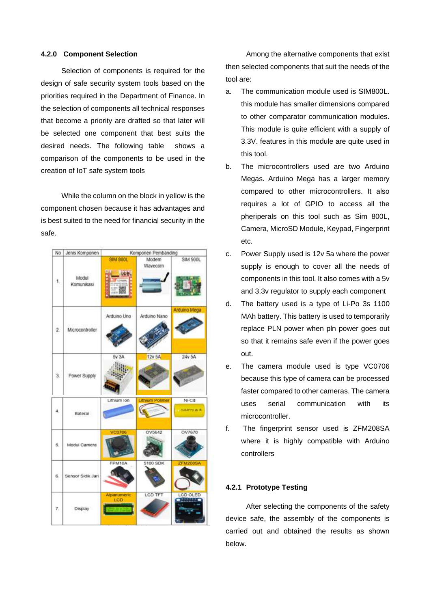### **4.2.0 Component Selection**

Selection of components is required for the design of safe security system tools based on the priorities required in the Department of Finance. In the selection of components all technical responses that become a priority are drafted so that later will be selected one component that best suits the desired needs. The following table shows a comparison of the components to be used in the creation of IoT safe system tools

While the column on the block in yellow is the component chosen because it has advantages and is best suited to the need for financial security in the safe.



Among the alternative components that exist then selected components that suit the needs of the tool are:

- a. The communication module used is SIM800L. this module has smaller dimensions compared to other comparator communication modules. This module is quite efficient with a supply of 3.3V. features in this module are quite used in this tool.
- b. The microcontrollers used are two Arduino Megas. Arduino Mega has a larger memory compared to other microcontrollers. It also requires a lot of GPIO to access all the pheriperals on this tool such as Sim 800L, Camera, MicroSD Module, Keypad, Fingerprint etc.
- c. Power Supply used is 12v 5a where the power supply is enough to cover all the needs of components in this tool. It also comes with a 5v and 3.3v regulator to supply each component
- d. The battery used is a type of Li-Po 3s 1100 MAh battery. This battery is used to temporarily replace PLN power when pln power goes out so that it remains safe even if the power goes out.
- e. The camera module used is type VC0706 because this type of camera can be processed faster compared to other cameras. The camera uses serial communication with its microcontroller.
- f. The fingerprint sensor used is ZFM208SA where it is highly compatible with Arduino controllers

## **4.2.1 Prototype Testing**

After selecting the components of the safety device safe, the assembly of the components is carried out and obtained the results as shown below.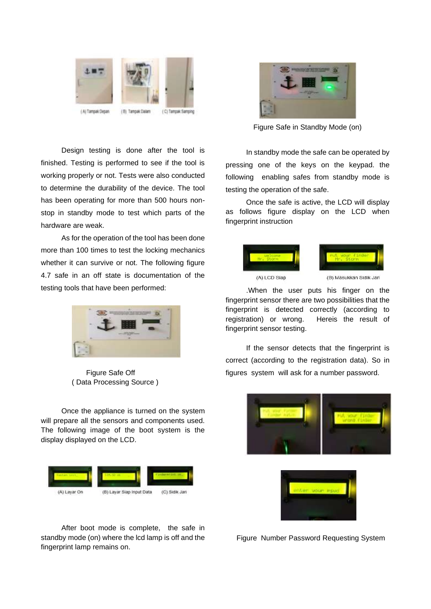

Design testing is done after the tool is finished. Testing is performed to see if the tool is working properly or not. Tests were also conducted to determine the durability of the device. The tool has been operating for more than 500 hours nonstop in standby mode to test which parts of the hardware are weak.

As for the operation of the tool has been done more than 100 times to test the locking mechanics whether it can survive or not. The following figure 4.7 safe in an off state is documentation of the testing tools that have been performed:



Figure Safe Off ( Data Processing Source )

Once the appliance is turned on the system will prepare all the sensors and components used. The following image of the boot system is the display displayed on the LCD.



After boot mode is complete, the safe in standby mode (on) where the lcd lamp is off and the fingerprint lamp remains on.



Figure Safe in Standby Mode (on)

In standby mode the safe can be operated by pressing one of the keys on the keypad. the following enabling safes from standby mode is testing the operation of the safe.

Once the safe is active, the LCD will display as follows figure display on the LCD when fingerprint instruction



.When the user puts his finger on the fingerprint sensor there are two possibilities that the fingerprint is detected correctly (according to registration) or wrong. Hereis the result of fingerprint sensor testing.

If the sensor detects that the fingerprint is correct (according to the registration data). So in figures system will ask for a number password.





Figure Number Password Requesting System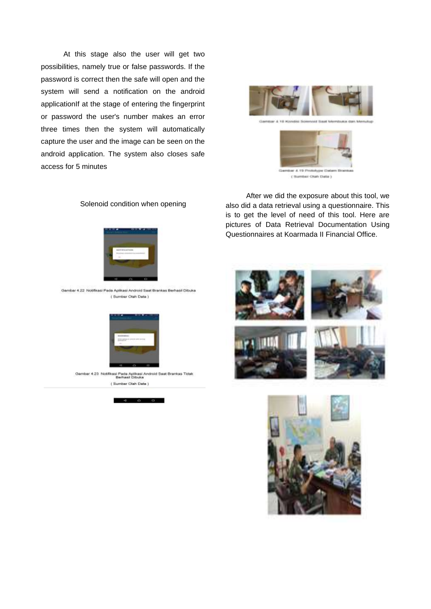At this stage also the user will get two possibilities, namely true or false passwords. If the password is correct then the safe will open and the system will send a notification on the android applicationIf at the stage of entering the fingerprint or password the user's number makes an error three times then the system will automatically capture the user and the image can be seen on the android application. The system also closes safe access for 5 minutes





## After we did the exposure about this tool, we also did a data retrieval using a questionnaire. This is to get the level of need of this tool. Here are pictures of Data Retrieval Documentation Using Questionnaires at Koarmada II Financial Office.





### Solenoid condition when opening



Gember 4.22 Notifikasi Pada Aplikasi Android Saat Brankas Berhasil Dibuka (Sumber Otah Data )



Gamber 4:23 Notifikasi Pada Aplikasi Android Saat Brankas Tidak ( Sumber Olah Data )

 $a \quad a \quad a$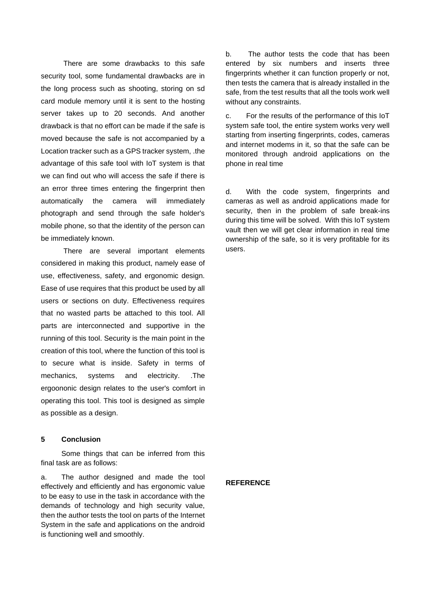There are some drawbacks to this safe security tool, some fundamental drawbacks are in the long process such as shooting, storing on sd card module memory until it is sent to the hosting server takes up to 20 seconds. And another drawback is that no effort can be made if the safe is moved because the safe is not accompanied by a Location tracker such as a GPS tracker system, .the advantage of this safe tool with IoT system is that we can find out who will access the safe if there is an error three times entering the fingerprint then automatically the camera will immediately photograph and send through the safe holder's mobile phone, so that the identity of the person can be immediately known.

There are several important elements considered in making this product, namely ease of use, effectiveness, safety, and ergonomic design. Ease of use requires that this product be used by all users or sections on duty. Effectiveness requires that no wasted parts be attached to this tool. All parts are interconnected and supportive in the running of this tool. Security is the main point in the creation of this tool, where the function of this tool is to secure what is inside. Safety in terms of mechanics, systems and electricity. .The ergoononic design relates to the user's comfort in operating this tool. This tool is designed as simple as possible as a design.

### **5 Conclusion**

Some things that can be inferred from this final task are as follows:

a. The author designed and made the tool effectively and efficiently and has ergonomic value to be easy to use in the task in accordance with the demands of technology and high security value, then the author tests the tool on parts of the Internet System in the safe and applications on the android is functioning well and smoothly.

b. The author tests the code that has been entered by six numbers and inserts three fingerprints whether it can function properly or not, then tests the camera that is already installed in the safe, from the test results that all the tools work well without any constraints.

c. For the results of the performance of this IoT system safe tool, the entire system works very well starting from inserting fingerprints, codes, cameras and internet modems in it, so that the safe can be monitored through android applications on the phone in real time

d. With the code system, fingerprints and cameras as well as android applications made for security, then in the problem of safe break-ins during this time will be solved. With this IoT system vault then we will get clear information in real time ownership of the safe, so it is very profitable for its users.

### **REFERENCE**